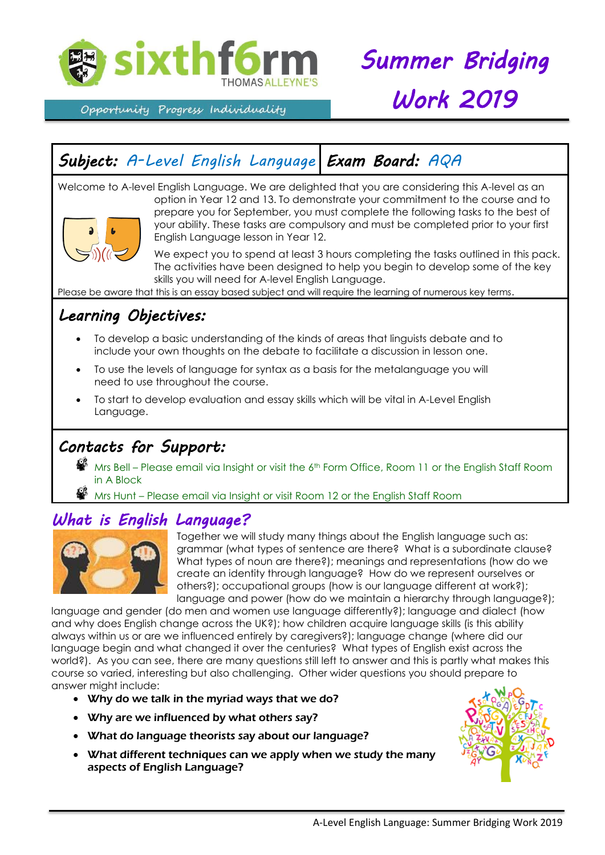

Opportunity Progress Individuality

# *Summer Bridging Work 2019*

# *Subject: A-Level English Language Exam Board: AQA*

Welcome to A-level English Language. We are delighted that you are considering this A-level as an option in Year 12 and 13. To demonstrate your commitment to the course and to prepare you for September, you must complete the following tasks to the best of your ability. These tasks are compulsory and must be completed prior to your first English Language lesson in Year 12.

> We expect you to spend at least 3 hours completing the tasks outlined in this pack. The activities have been designed to help you begin to develop some of the key skills you will need for A-level English Language.

Please be aware that this is an essay based subject and will require the learning of numerous key terms.

# *Learning Objectives:*

- To develop a basic understanding of the kinds of areas that linguists debate and to include your own thoughts on the debate to facilitate a discussion in lesson one.
- To use the levels of language for syntax as a basis for the metalanguage you will need to use throughout the course.
- To start to develop evaluation and essay skills which will be vital in A-Level English Language.

## *Contacts for Support:*

 $\clubsuit$  Mrs Bell – Please email via Insight or visit the 6<sup>th</sup> Form Office, Room 11 or the English Staff Room in A Block

Mrs Hunt – Please em<u>ail via Insight or visit Room 12 or the English Staff Room</u>

### *What is English Language?*



Together we will study many things about the English language such as: grammar (what types of sentence are there? What is a subordinate clause? What types of noun are there?); meanings and representations (how do we create an identity through language? How do we represent ourselves or others?); occupational groups (how is our language different at work?); language and power (how do we maintain a hierarchy through language?);

language and gender (do men and women use language differently?); language and dialect (how and why does English change across the UK?); how children acquire language skills (is this ability always within us or are we influenced entirely by caregivers?); language change (where did our language begin and what changed it over the centuries? What types of English exist across the world?). As you can see, there are many questions still left to answer and this is partly what makes this course so varied, interesting but also challenging. Other wider questions you should prepare to answer might include:

- Why do we talk in the myriad ways that we do?
- Why are we influenced by what others say?
- What do language theorists say about our language?
- What different techniques can we apply when we study the many aspects of English Language?

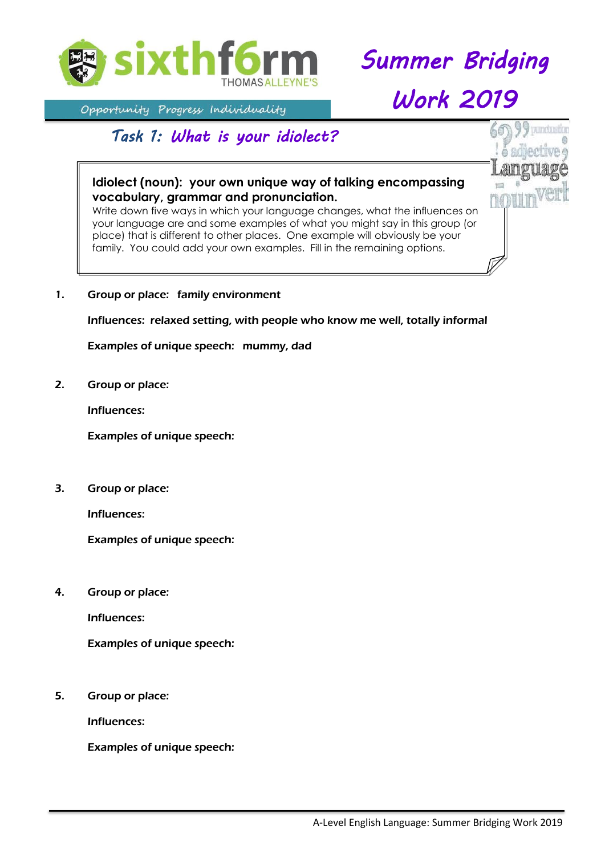

*Summer Bridging* 

*Work 2019* 

# Opportunity Progress Individuality

### *Task 1: What is your idiolect?*

#### **Idiolect (noun): your own unique way of talking encompassing vocabulary, grammar and pronunciation.**

Write down five ways in which your language changes, what the influences on your language are and some examples of what you might say in this group (or place) that is different to other places. One example will obviously be your family. You could add your own examples. Fill in the remaining options.

1. Group or place: family environment

Influences: relaxed setting, with people who know me well, totally informal

Examples of unique speech: mummy, dad

2. Group or place:

Influences:

Examples of unique speech:

3. Group or place:

Influences:

Examples of unique speech:

4. Group or place:

Influences:

Examples of unique speech:

5. Group or place:

Influences:

Examples of unique speech: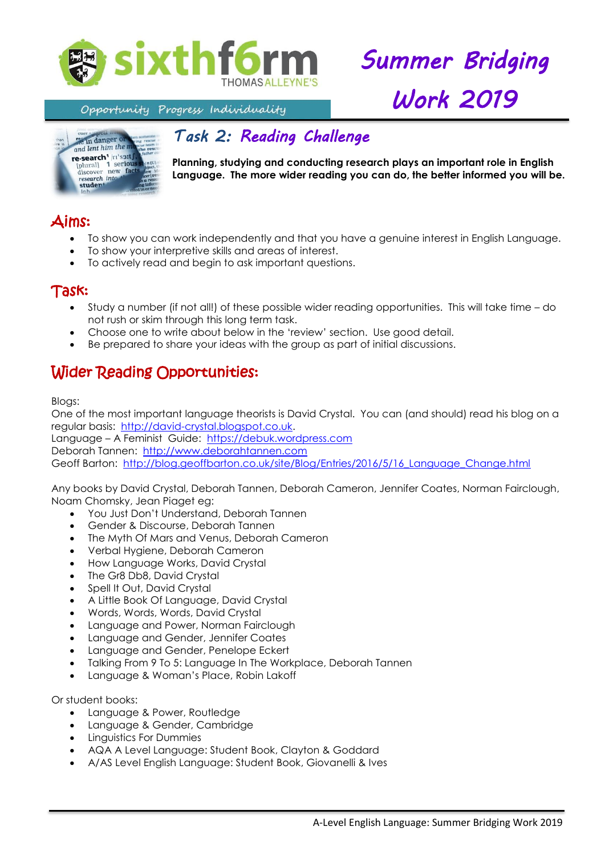

*Summer Bridging Work 2019* 

Opportunity Progress Individuality



# *Task 2: Reading Challenge*

**Planning, studying and conducting research plays an important role in English Language. The more wider reading you can do, the better informed you will be.** 

# Aims:

- To show you can work independently and that you have a genuine interest in English Language.
- To show your interpretive skills and areas of interest.
- To actively read and begin to ask important questions.

#### Task:

- Study a number (if not all!) of these possible wider reading opportunities. This will take time do not rush or skim through this long term task.
- Choose one to write about below in the 'review' section. Use good detail.
- Be prepared to share your ideas with the group as part of initial discussions.

## Wider Reading Opportunities:

Blogs:

One of the most important language theorists is David Crystal. You can (and should) read his blog on a regular basis: [http://david-crystal.blogspot.co.uk.](http://david-crystal.blogspot.co.uk/)

Language – A Feminist Guide: [https://debuk.wordpress.com](https://debuk.wordpress.com/) Deborah Tannen: [http://www.deborahtannen.com](http://www.deborahtannen.com/)

Geoff Barton: [http://blog.geoffbarton.co.uk/site/Blog/Entries/2016/5/16\\_Language\\_Change.html](http://blog.geoffbarton.co.uk/site/Blog/Entries/2016/5/16_Language_Change.html)

Any books by David Crystal, Deborah Tannen, Deborah Cameron, Jennifer Coates, Norman Fairclough, Noam Chomsky, Jean Piaget eg:

- You Just Don't Understand, Deborah Tannen
- Gender & Discourse, Deborah Tannen
- The Myth Of Mars and Venus, Deborah Cameron
- Verbal Hygiene, Deborah Cameron
- How Language Works, David Crystal
- The Gr8 Db8, David Crystal
- Spell It Out, David Crystal
- A Little Book Of Language, David Crystal
- Words, Words, Words, David Crystal
- Language and Power, Norman Fairclough
- Language and Gender, Jennifer Coates
- Language and Gender, Penelope Eckert
- Talking From 9 To 5: Language In The Workplace, Deborah Tannen
- Language & Woman's Place, Robin Lakoff

Or student books:

- Language & Power, Routledge
- Language & Gender, Cambridge
- **•** Linguistics For Dummies
- AQA A Level Language: Student Book, Clayton & Goddard
- A/AS Level English Language: Student Book, Giovanelli & Ives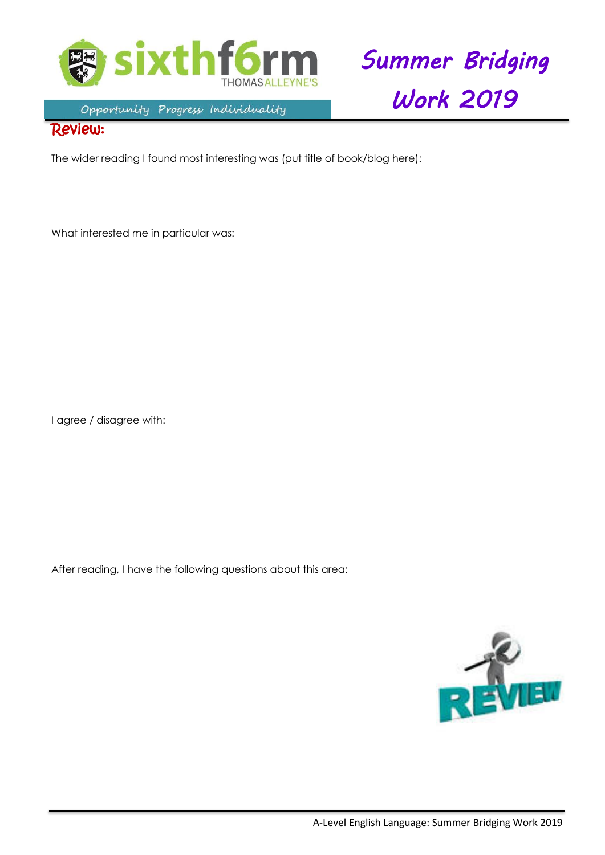



#### Opportunity Progress Individuality

#### Review:

The wider reading I found most interesting was (put title of book/blog here):

What interested me in particular was:

I agree / disagree with:

After reading, I have the following questions about this area: